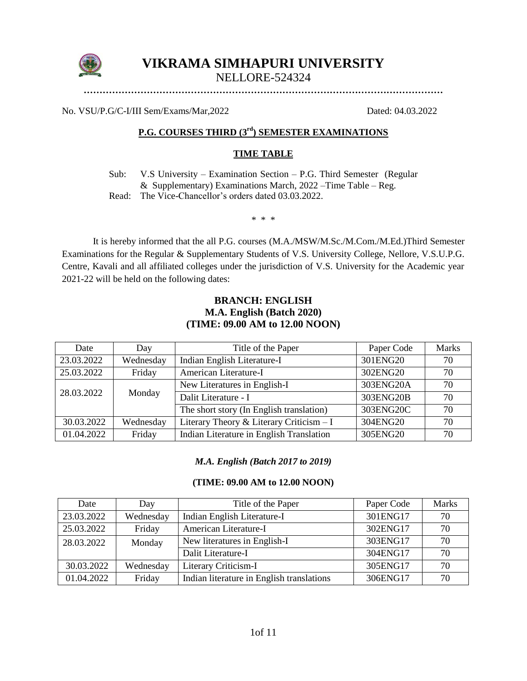

# **VIKRAMA SIMHAPURI UNIVERSITY**

NELLORE-524324

**……………………………………………………………………………………………………**

No. VSU/P.G/C-I/III Sem/Exams/Mar,2022 Dated: 04.03.2022

# **P.G. COURSES THIRD (3rd) SEMESTER EXAMINATIONS**

## **TIME TABLE**

Sub: V.S University – Examination Section – P.G. Third Semester (Regular & Supplementary) Examinations March, 2022 –Time Table – Reg.

Read: The Vice-Chancellor's orders dated 03.03.2022.

\* \* \*

It is hereby informed that the all P.G. courses (M.A./MSW/M.Sc./M.Com./M.Ed.)Third Semester Examinations for the Regular & Supplementary Students of V.S. University College, Nellore, V.S.U.P.G. Centre, Kavali and all affiliated colleges under the jurisdiction of V.S. University for the Academic year 2021-22 will be held on the following dates:

# **BRANCH: ENGLISH M.A. English (Batch 2020) (TIME: 09.00 AM to 12.00 NOON)**

| Date       | Day       | Title of the Paper                       | Paper Code | <b>Marks</b> |
|------------|-----------|------------------------------------------|------------|--------------|
| 23.03.2022 | Wednesday | Indian English Literature-I              | 301ENG20   | 70           |
| 25.03.2022 | Friday    | American Literature-I                    | 302ENG20   | 70           |
| 28.03.2022 |           | New Literatures in English-I             | 303ENG20A  | 70           |
|            | Monday    | Dalit Literature - I                     | 303ENG20B  | 70           |
|            |           | The short story (In English translation) | 303ENG20C  | 70           |
| 30.03.2022 | Wednesday | Literary Theory & Literary Criticism - I | 304ENG20   | 70           |
| 01.04.2022 | Friday    | Indian Literature in English Translation | 305ENG20   | 70           |

#### *M.A. English (Batch 2017 to 2019)*

#### **(TIME: 09.00 AM to 12.00 NOON)**

| Date       | Day       | Title of the Paper                        | Paper Code | <b>Marks</b> |
|------------|-----------|-------------------------------------------|------------|--------------|
| 23.03.2022 | Wednesday | Indian English Literature-I               | 301ENG17   | 70           |
| 25.03.2022 | Friday    | American Literature-I                     | 302ENG17   | 70           |
| 28.03.2022 | Monday    | New literatures in English-I              | 303ENG17   | 70           |
|            |           | Dalit Literature-I                        | 304ENG17   | 70           |
| 30.03.2022 | Wednesday | Literary Criticism-I                      | 305ENG17   | 70           |
| 01.04.2022 | Friday    | Indian literature in English translations | 306ENG17   | 70           |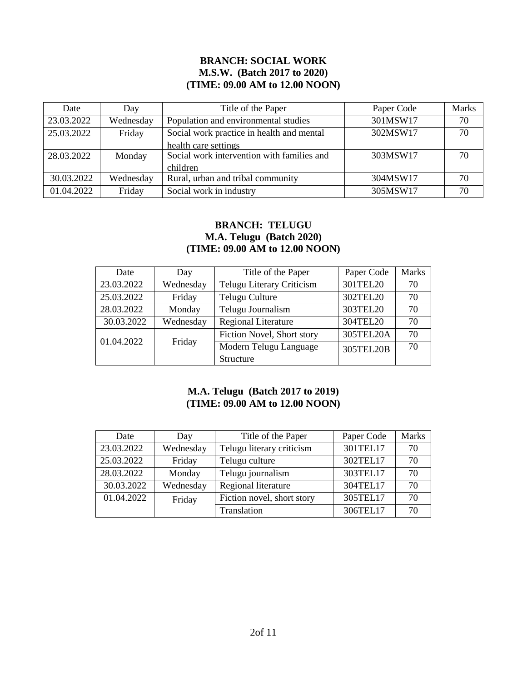## **BRANCH: SOCIAL WORK M.S.W. (Batch 2017 to 2020) (TIME: 09.00 AM to 12.00 NOON)**

| Date       | Day       | Title of the Paper                         | Paper Code | <b>Marks</b> |
|------------|-----------|--------------------------------------------|------------|--------------|
| 23.03.2022 | Wednesday | Population and environmental studies       | 301MSW17   | 70           |
| 25.03.2022 | Friday    | Social work practice in health and mental  | 302MSW17   | 70           |
|            |           | health care settings                       |            |              |
| 28.03.2022 | Monday    | Social work intervention with families and | 303MSW17   | 70           |
|            |           | children                                   |            |              |
| 30.03.2022 | Wednesday | Rural, urban and tribal community          | 304MSW17   | 70           |
| 01.04.2022 | Friday    | Social work in industry                    | 305MSW17   | 70           |

# **BRANCH: TELUGU M.A. Telugu (Batch 2020) (TIME: 09.00 AM to 12.00 NOON)**

| Date       | Day       | Title of the Paper                  | Paper Code | <b>Marks</b> |
|------------|-----------|-------------------------------------|------------|--------------|
| 23.03.2022 | Wednesday | Telugu Literary Criticism           | 301TEL20   | 70           |
| 25.03.2022 | Friday    | Telugu Culture                      | 302TEL20   | 70           |
| 28.03.2022 | Monday    | Telugu Journalism                   | 303TEL20   | 70           |
| 30.03.2022 | Wednesday | <b>Regional Literature</b>          | 304TEL20   | 70           |
| 01.04.2022 |           | Fiction Novel, Short story          | 305TEL20A  | 70           |
|            | Friday    | Modern Telugu Language<br>305TEL20B |            | 70           |
|            |           | Structure                           |            |              |

# **M.A. Telugu (Batch 2017 to 2019) (TIME: 09.00 AM to 12.00 NOON)**

| Date       | Day       | Title of the Paper         | Paper Code | <b>Marks</b> |
|------------|-----------|----------------------------|------------|--------------|
| 23.03.2022 | Wednesday | Telugu literary criticism  | 301TEL17   | 70           |
| 25.03.2022 | Friday    | Telugu culture             | 302TEL17   | 70           |
| 28.03.2022 | Monday    | Telugu journalism          | 303TEL17   | 70           |
| 30.03.2022 | Wednesday | Regional literature        | 304TEL17   | 70           |
| 01.04.2022 | Friday    | Fiction novel, short story | 305TEL17   | 70           |
|            |           | Translation                | 306TEL17   | 70           |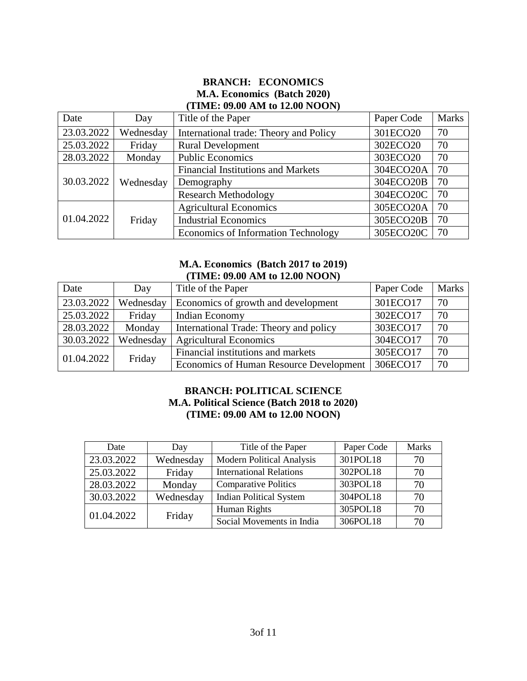## **BRANCH: ECONOMICS M.A. Economics (Batch 2020) (TIME: 09.00 AM to 12.00 NOON)**

| Date       | Day       | Title of the Paper                        | Paper Code | <b>Marks</b> |
|------------|-----------|-------------------------------------------|------------|--------------|
| 23.03.2022 | Wednesday | International trade: Theory and Policy    | 301ECO20   | 70           |
| 25.03.2022 | Friday    | <b>Rural Development</b>                  | 302ECO20   | 70           |
| 28.03.2022 | Monday    | <b>Public Economics</b>                   | 303ECO20   | 70           |
|            | Wednesday | <b>Financial Institutions and Markets</b> | 304ECO20A  | 70           |
| 30.03.2022 |           | Demography                                | 304ECO20B  | 70           |
|            |           | <b>Research Methodology</b>               | 304ECO20C  | 70           |
| 01.04.2022 |           | <b>Agricultural Economics</b>             | 305ECO20A  | 70           |
|            | Friday    | <b>Industrial Economics</b>               | 305ECO20B  | 70           |
|            |           | Economics of Information Technology       | 305ECO20C  | 70           |

#### **M.A. Economics (Batch 2017 to 2019) (TIME: 09.00 AM to 12.00 NOON)**

| Date       | Day       | Title of the Paper                      | Paper Code | <b>Marks</b> |
|------------|-----------|-----------------------------------------|------------|--------------|
| 23.03.2022 | Wednesday | Economics of growth and development     | 301ECO17   | 70           |
| 25.03.2022 | Friday    | Indian Economy                          | 302ECO17   | 70           |
| 28.03.2022 | Monday    | International Trade: Theory and policy  | 303ECO17   | 70           |
| 30.03.2022 | Wednesday | <b>Agricultural Economics</b>           | 304ECO17   | 70           |
| 01.04.2022 |           | Financial institutions and markets      | 305ECO17   | 70           |
|            | Friday    | Economics of Human Resource Development | 306ECO17   | 70           |

# **BRANCH: POLITICAL SCIENCE M.A. Political Science (Batch 2018 to 2020) (TIME: 09.00 AM to 12.00 NOON)**

| Date       | Day       | Title of the Paper               | Paper Code | <b>Marks</b> |
|------------|-----------|----------------------------------|------------|--------------|
| 23.03.2022 | Wednesday | <b>Modern Political Analysis</b> | 301POL18   | 70           |
| 25.03.2022 | Friday    | <b>International Relations</b>   | 302POL18   | 70           |
| 28.03.2022 | Monday    | <b>Comparative Politics</b>      | 303POL18   | 70           |
| 30.03.2022 | Wednesday | <b>Indian Political System</b>   | 304POL18   | 70           |
| 01.04.2022 | Friday    | Human Rights                     | 305POL18   | 70           |
|            |           | Social Movements in India        | 306POL18   | 70           |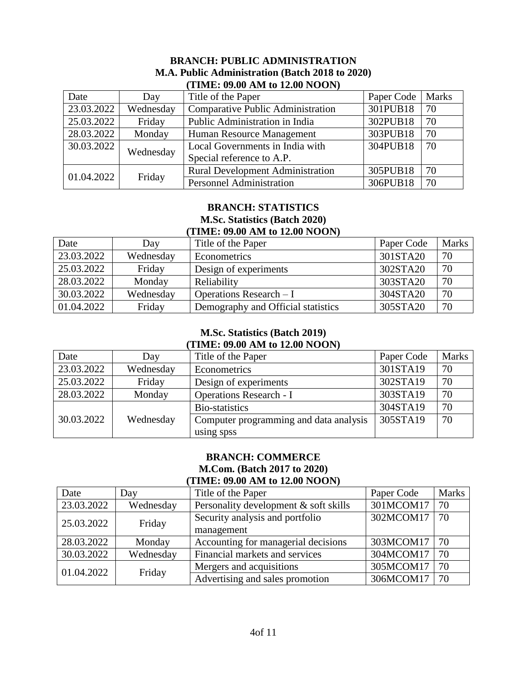|            | <b>THME: 09.00 AM to 12.00 NOON)</b> |                                          |            |              |  |  |
|------------|--------------------------------------|------------------------------------------|------------|--------------|--|--|
| Date       | Day                                  | Title of the Paper                       | Paper Code | <b>Marks</b> |  |  |
| 23.03.2022 | Wednesday                            | <b>Comparative Public Administration</b> | 301PUB18   | 70           |  |  |
| 25.03.2022 | Friday                               | Public Administration in India           | 302PUB18   | 70           |  |  |
| 28.03.2022 | Monday                               | Human Resource Management                | 303PUB18   | 70           |  |  |
| 30.03.2022 | Wednesday                            | Local Governments in India with          | 304PUB18   | 70           |  |  |
|            |                                      | Special reference to A.P.                |            |              |  |  |
| 01.04.2022 |                                      | <b>Rural Development Administration</b>  | 305PUB18   | 70           |  |  |
|            | Friday                               | <b>Personnel Administration</b>          | 306PUB18   | 70           |  |  |

# **BRANCH: PUBLIC ADMINISTRATION M.A. Public Administration (Batch 2018 to 2020) (TIME: 09.00 AM to 12.00 NOON)**

## **BRANCH: STATISTICS M.Sc. Statistics (Batch 2020) (TIME: 09.00 AM to 12.00 NOON)**

| Date       | Day       | Title of the Paper                 | Paper Code | <b>Marks</b> |
|------------|-----------|------------------------------------|------------|--------------|
| 23.03.2022 | Wednesday | Econometrics                       | 301STA20   | 70           |
| 25.03.2022 | Friday    | Design of experiments              | 302STA20   | 70           |
| 28.03.2022 | Monday    | Reliability                        | 303STA20   | 70           |
| 30.03.2022 | Wednesday | Operations Research $-I$           | 304STA20   | 70           |
| 01.04.2022 | Friday    | Demography and Official statistics | 305STA20   | 70           |

# **M.Sc. Statistics (Batch 2019) (TIME: 09.00 AM to 12.00 NOON)**

| Date       | Day       | Title of the Paper                     | Paper Code | <b>Marks</b> |
|------------|-----------|----------------------------------------|------------|--------------|
| 23.03.2022 | Wednesday | Econometrics                           | 301STA19   | 70           |
| 25.03.2022 | Friday    | Design of experiments                  | 302STA19   | 70           |
| 28.03.2022 | Monday    | <b>Operations Research - I</b>         | 303STA19   | 70           |
|            |           | Bio-statistics                         | 304STA19   | 70           |
| 30.03.2022 | Wednesday | Computer programming and data analysis | 305STA19   | 70           |
|            |           | using spss                             |            |              |

# **BRANCH: COMMERCE M.Com. (Batch 2017 to 2020) (TIME: 09.00 AM to 12.00 NOON)**

| THME. 02.00 AIM to 12.00 HOOTH |           |                                       |            |              |  |
|--------------------------------|-----------|---------------------------------------|------------|--------------|--|
| Date                           | Day       | Title of the Paper                    | Paper Code | <b>Marks</b> |  |
| 23.03.2022                     | Wednesday | Personality development & soft skills | 301MCOM17  | 70           |  |
| 25.03.2022                     | Friday    | Security analysis and portfolio       | 302MCOM17  | 70           |  |
|                                |           | management                            |            |              |  |
| 28.03.2022                     | Monday    | Accounting for managerial decisions   | 303MCOM17  | 70           |  |
| 30.03.2022                     | Wednesday | Financial markets and services        | 304MCOM17  | 70           |  |
| 01.04.2022                     |           | Mergers and acquisitions              | 305MCOM17  | 70           |  |
|                                | Friday    | Advertising and sales promotion       | 306MCOM17  | 70           |  |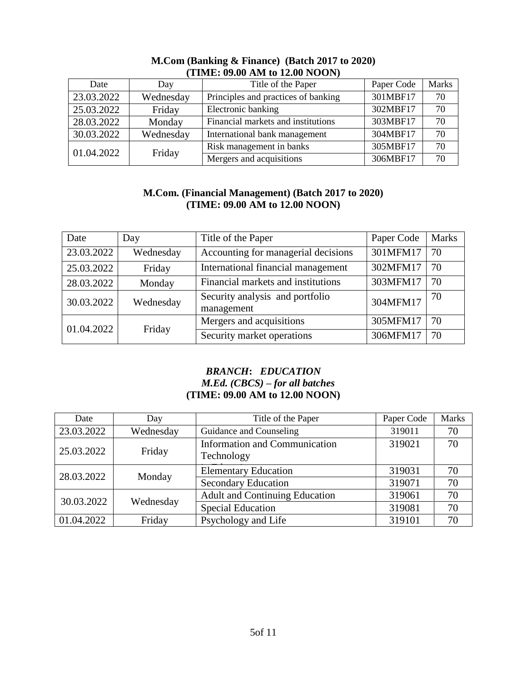| $\overline{1}$ . The contract of $\overline{1}$ , $\overline{1}$ , $\overline{1}$ , $\overline{1}$ , $\overline{1}$ , $\overline{1}$ , $\overline{1}$ , $\overline{1}$ , $\overline{1}$ , $\overline{1}$ , $\overline{1}$ , $\overline{1}$ , $\overline{1}$ , $\overline{1}$ , $\overline{1}$ , $\overline{1}$ , $\overline{1}$ , $\overline{1}$ |           |                                     |            |              |  |  |
|--------------------------------------------------------------------------------------------------------------------------------------------------------------------------------------------------------------------------------------------------------------------------------------------------------------------------------------------------|-----------|-------------------------------------|------------|--------------|--|--|
| Date                                                                                                                                                                                                                                                                                                                                             | Day       | Title of the Paper                  | Paper Code | <b>Marks</b> |  |  |
| 23.03.2022                                                                                                                                                                                                                                                                                                                                       | Wednesday | Principles and practices of banking | 301MBF17   | 70           |  |  |
| 25.03.2022                                                                                                                                                                                                                                                                                                                                       | Friday    | Electronic banking                  | 302MBF17   | 70           |  |  |
| 28.03.2022                                                                                                                                                                                                                                                                                                                                       | Monday    | Financial markets and institutions  | 303MBF17   | 70           |  |  |
| 30.03.2022                                                                                                                                                                                                                                                                                                                                       | Wednesday | International bank management       | 304MBF17   | 70           |  |  |
| 01.04.2022                                                                                                                                                                                                                                                                                                                                       |           | Risk management in banks            | 305MBF17   | 70           |  |  |
|                                                                                                                                                                                                                                                                                                                                                  | Friday    | Mergers and acquisitions            | 306MBF17   | 70           |  |  |

## **M.Com (Banking & Finance) (Batch 2017 to 2020) (TIME: 09.00 AM to 12.00 NOON)**

# **M.Com. (Financial Management) (Batch 2017 to 2020) (TIME: 09.00 AM to 12.00 NOON)**

| Date       | Day       | Title of the Paper                            | Paper Code | <b>Marks</b> |
|------------|-----------|-----------------------------------------------|------------|--------------|
| 23.03.2022 | Wednesday | Accounting for managerial decisions           | 301MFM17   | 70           |
| 25.03.2022 | Friday    | International financial management            | 302MFM17   | 70           |
| 28.03.2022 | Monday    | Financial markets and institutions            | 303MFM17   | 70           |
| 30.03.2022 | Wednesday | Security analysis and portfolio<br>management | 304MFM17   | 70           |
| 01.04.2022 |           | Mergers and acquisitions                      | 305MFM17   | 70           |
|            | Friday    | Security market operations                    | 306MFM17   | 70           |

# *BRANCH***:** *EDUCATION M.Ed. (CBCS) – for all batches* **(TIME: 09.00 AM to 12.00 NOON)**

| Date       | Day       | Title of the Paper                          | Paper Code | <b>Marks</b> |
|------------|-----------|---------------------------------------------|------------|--------------|
| 23.03.2022 | Wednesday | Guidance and Counseling                     | 319011     | 70           |
| 25.03.2022 | Friday    | Information and Communication<br>Technology | 319021     | 70           |
| 28.03.2022 | Monday    | <b>Elementary Education</b>                 | 319031     | 70           |
|            |           | <b>Secondary Education</b>                  | 319071     | 70           |
| 30.03.2022 | Wednesday | <b>Adult and Continuing Education</b>       | 319061     | 70           |
|            |           | <b>Special Education</b>                    | 319081     | 70           |
| 01.04.2022 | Friday    | Psychology and Life                         | 319101     | 70           |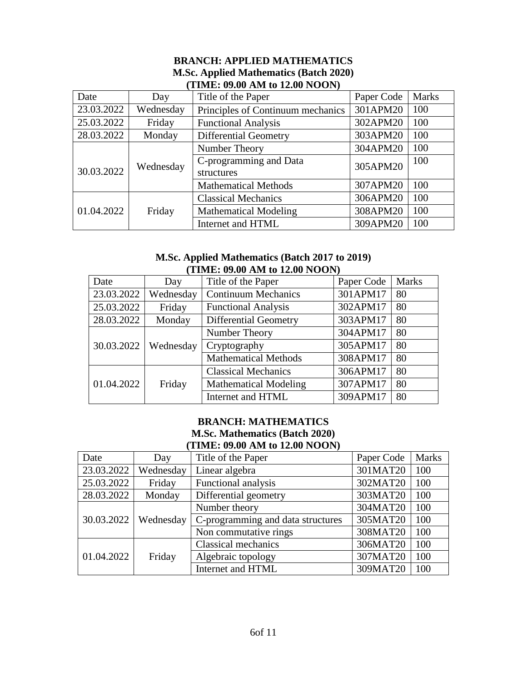| (TIME: 09.00 AM to 12.00 NOON) |           |                                   |            |              |  |  |
|--------------------------------|-----------|-----------------------------------|------------|--------------|--|--|
| Date                           | Day       | Title of the Paper                | Paper Code | <b>Marks</b> |  |  |
| 23.03.2022                     | Wednesday | Principles of Continuum mechanics | 301APM20   | 100          |  |  |
| 25.03.2022                     | Friday    | <b>Functional Analysis</b>        | 302APM20   | 100          |  |  |
| 28.03.2022                     | Monday    | <b>Differential Geometry</b>      | 303APM20   | 100          |  |  |
|                                |           | Number Theory                     | 304APM20   | 100          |  |  |
|                                | Wednesday | C-programming and Data            | 305APM20   | 100          |  |  |
| 30.03.2022                     |           | structures                        |            |              |  |  |
|                                |           | <b>Mathematical Methods</b>       | 307APM20   | 100          |  |  |
|                                |           | <b>Classical Mechanics</b>        | 306APM20   | 100          |  |  |
| 01.04.2022                     | Friday    | <b>Mathematical Modeling</b>      | 308APM20   | 100          |  |  |
|                                |           | Internet and HTML                 | 309APM20   | 100          |  |  |

## **BRANCH: APPLIED MATHEMATICS M.Sc. Applied Mathematics (Batch 2020) (TIME: 09.00 AM to 12.00 NOON)**

#### **M.Sc. Applied Mathematics (Batch 2017 to 2019) (TIME: 09.00 AM to 12.00 NOON)**

| Date       | Day       | Title of the Paper           | Paper Code | <b>Marks</b> |
|------------|-----------|------------------------------|------------|--------------|
| 23.03.2022 | Wednesday | <b>Continuum Mechanics</b>   | 301APM17   | 80           |
| 25.03.2022 | Friday    | <b>Functional Analysis</b>   | 302APM17   | 80           |
| 28.03.2022 | Monday    | <b>Differential Geometry</b> | 303APM17   | 80           |
|            |           | Number Theory                | 304APM17   | 80           |
| 30.03.2022 | Wednesday | Cryptography                 | 305APM17   | 80           |
|            |           | <b>Mathematical Methods</b>  | 308APM17   | 80           |
|            |           | <b>Classical Mechanics</b>   | 306APM17   | 80           |
| 01.04.2022 | Friday    | <b>Mathematical Modeling</b> | 307APM17   | 80           |
|            |           | Internet and HTML            | 309APM17   | 80           |

#### **BRANCH: MATHEMATICS M.Sc. Mathematics (Batch 2020) (TIME: 09.00 AM to 12.00 NOON)**

| Date       | Day       | Title of the Paper                | Paper Code | <b>Marks</b> |
|------------|-----------|-----------------------------------|------------|--------------|
| 23.03.2022 | Wednesday | Linear algebra                    | 301MAT20   | 100          |
| 25.03.2022 | Friday    | Functional analysis               | 302MAT20   | 100          |
| 28.03.2022 | Monday    | Differential geometry             | 303MAT20   | 100          |
|            | Wednesday | Number theory                     | 304MAT20   | 100          |
| 30.03.2022 |           | C-programming and data structures | 305MAT20   | 100          |
|            |           | Non commutative rings             | 308MAT20   | 100          |
| 01.04.2022 |           | <b>Classical mechanics</b>        | 306MAT20   | 100          |
|            | Friday    | Algebraic topology                | 307MAT20   | 100          |
|            |           | Internet and HTML                 | 309MAT20   | 100          |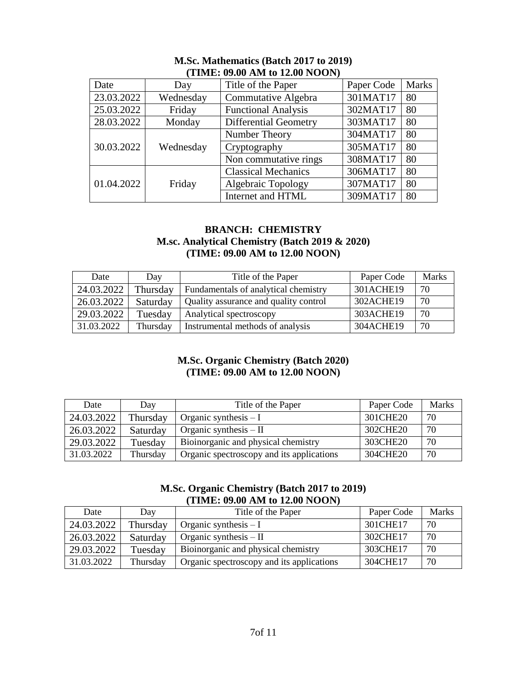| Date       | Day       | Title of the Paper           | Paper Code | <b>Marks</b> |  |
|------------|-----------|------------------------------|------------|--------------|--|
| 23.03.2022 | Wednesday | Commutative Algebra          | 301MAT17   | 80           |  |
| 25.03.2022 | Friday    | <b>Functional Analysis</b>   | 302MAT17   | 80           |  |
| 28.03.2022 | Monday    | <b>Differential Geometry</b> | 303MAT17   | 80           |  |
|            | Wednesday | Number Theory                | 304MAT17   | 80           |  |
| 30.03.2022 |           | Cryptography                 | 305MAT17   | 80           |  |
|            |           | Non commutative rings        | 308MAT17   | 80           |  |
| 01.04.2022 | Friday    | <b>Classical Mechanics</b>   | 306MAT17   | 80           |  |
|            |           | Algebraic Topology           | 307MAT17   | 80           |  |
|            |           | Internet and HTML            | 309MAT17   | 80           |  |

#### **M.Sc. Mathematics (Batch 2017 to 2019) (TIME: 09.00 AM to 12.00 NOON)**

#### **BRANCH: CHEMISTRY M.sc. Analytical Chemistry (Batch 2019 & 2020) (TIME: 09.00 AM to 12.00 NOON)**

| Date       | Day      | Title of the Paper                    | Paper Code | <b>Marks</b> |
|------------|----------|---------------------------------------|------------|--------------|
| 24.03.2022 | Thursday | Fundamentals of analytical chemistry  | 301ACHE19  | 70           |
| 26.03.2022 | Saturday | Quality assurance and quality control | 302ACHE19  | 70           |
| 29.03.2022 | Tuesday  | Analytical spectroscopy               | 303ACHE19  | 70           |
| 31.03.2022 | Thursday | Instrumental methods of analysis      | 304ACHE19  | 70           |

# **M.Sc. Organic Chemistry (Batch 2020) (TIME: 09.00 AM to 12.00 NOON)**

| Date       | Day      | Title of the Paper                        | Paper Code | Marks |
|------------|----------|-------------------------------------------|------------|-------|
| 24.03.2022 | Thursday | Organic synthesis $-I$                    | 301CHE20   | 70    |
| 26.03.2022 | Saturday | Organic synthesis $-$ II                  | 302CHE20   | 70    |
| 29.03.2022 | Tuesday  | Bioinorganic and physical chemistry       | 303CHE20   | 70    |
| 31.03.2022 | Thursday | Organic spectroscopy and its applications | 304CHE20   | 70    |

# **M.Sc. Organic Chemistry (Batch 2017 to 2019) (TIME: 09.00 AM to 12.00 NOON)**

| Date       | Day      | Title of the Paper                        | Paper Code | <b>Marks</b> |  |
|------------|----------|-------------------------------------------|------------|--------------|--|
| 24.03.2022 | Thursday | Organic synthesis $-I$                    | 301CHE17   | 70           |  |
| 26.03.2022 | Saturday | Organic synthesis $-$ II                  | 302CHE17   | 70           |  |
| 29.03.2022 | Tuesday  | Bioinorganic and physical chemistry       | 303CHE17   | 70           |  |
| 31.03.2022 | Thursday | Organic spectroscopy and its applications | 304CHE17   | 70           |  |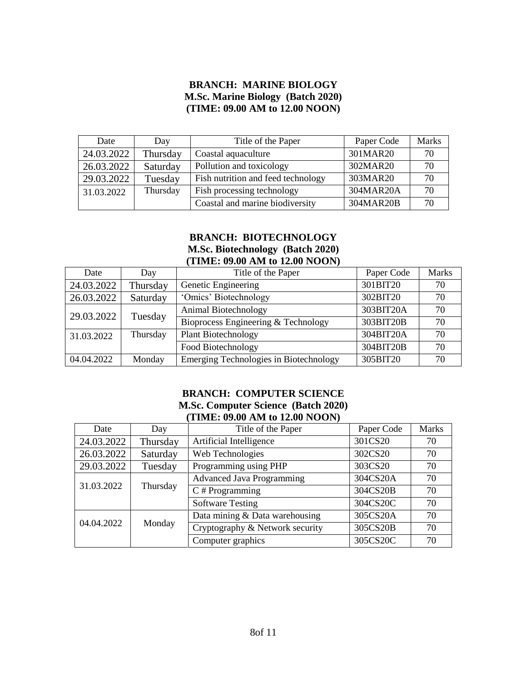## **BRANCH: MARINE BIOLOGY M.Sc. Marine Biology (Batch 2020) (TIME: 09.00 AM to 12.00 NOON)**

| Date       | Day      | Title of the Paper                 | Paper Code | <b>Marks</b> |
|------------|----------|------------------------------------|------------|--------------|
| 24.03.2022 | Thursday | Coastal aquaculture                | 301MAR20   | 70           |
| 26.03.2022 | Saturday | Pollution and toxicology           | 302MAR20   | 70           |
| 29.03.2022 | Tuesday  | Fish nutrition and feed technology | 303MAR20   | 70           |
| 31.03.2022 | Thursday | Fish processing technology         | 304MAR20A  | 70           |
|            |          | Coastal and marine biodiversity    | 304MAR20B  | 70           |

## **BRANCH: BIOTECHNOLOGY M.Sc. Biotechnology (Batch 2020) (TIME: 09.00 AM to 12.00 NOON)**

| Date       | Day      | Title of the Paper                     | Paper Code | <b>Marks</b> |
|------------|----------|----------------------------------------|------------|--------------|
| 24.03.2022 | Thursday | Genetic Engineering                    | 301BIT20   | 70           |
| 26.03.2022 | Saturday | 'Omics' Biotechnology                  | 302BIT20   | 70           |
|            | Tuesday  | Animal Biotechnology                   | 303BIT20A  | 70           |
| 29.03.2022 |          | Bioprocess Engineering & Technology    | 303BIT20B  | 70           |
| 31.03.2022 | Thursday | <b>Plant Biotechnology</b>             | 304BIT20A  | 70           |
|            |          | Food Biotechnology                     | 304BIT20B  | 70           |
| 04.04.2022 | Monday   | Emerging Technologies in Biotechnology | 305BIT20   | 70           |

#### **BRANCH: COMPUTER SCIENCE M.Sc. Computer Science (Batch 2020) (TIME: 09.00 AM to 12.00 NOON)**

| Date       | Day      | Title of the Paper              | Paper Code                       | <b>Marks</b> |    |
|------------|----------|---------------------------------|----------------------------------|--------------|----|
| 24.03.2022 | Thursday | Artificial Intelligence         | 301CS20                          | 70           |    |
| 26.03.2022 | Saturday | Web Technologies                | 302CS20                          | 70           |    |
| 29.03.2022 | Tuesday  | Programming using PHP           | 303CS20                          | 70           |    |
| 31.03.2022 |          | Thursday                        | <b>Advanced Java Programming</b> | 304CS20A     | 70 |
|            |          |                                 | $C \#$ Programming               | 304CS20B     | 70 |
|            |          | <b>Software Testing</b>         | 304CS20C                         | 70           |    |
| 04.04.2022 | Monday   | Data mining & Data warehousing  | 305CS20A                         | 70           |    |
|            |          | Cryptography & Network security | 305CS20B                         | 70           |    |
|            |          | Computer graphics               | 305CS20C                         | 70           |    |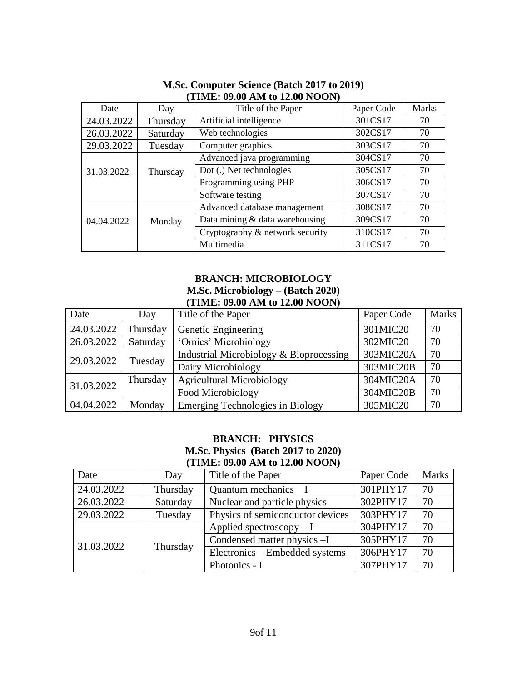| Date       | Day      | Title of the Paper              | Paper Code | <b>Marks</b> |
|------------|----------|---------------------------------|------------|--------------|
| 24.03.2022 | Thursday | Artificial intelligence         | 301CS17    | 70           |
| 26.03.2022 | Saturday | Web technologies                | 302CS17    | 70           |
| 29.03.2022 | Tuesday  | Computer graphics               | 303CS17    | 70           |
|            |          | Advanced java programming       | 304CS17    | 70           |
| 31.03.2022 | Thursday | Dot (.) Net technologies        | 305CS17    | 70           |
|            |          | Programming using PHP           | 306CS17    | 70           |
|            |          | Software testing                | 307CS17    | 70           |
|            |          | Advanced database management    | 308CS17    | 70           |
| 04.04.2022 | Monday   | Data mining & data warehousing  | 309CS17    | 70           |
|            |          | Cryptography & network security | 310CS17    | 70           |
|            |          | Multimedia                      | 311CS17    | 70           |

#### **M.Sc. Computer Science (Batch 2017 to 2019) (TIME: 09.00 AM to 12.00 NOON)**

# **BRANCH: MICROBIOLOGY**

## **M.Sc. Microbiology – (Batch 2020) (TIME: 09.00 AM to 12.00 NOON)**

| Date       | Day      | Title of the Paper                      | Paper Code | <b>Marks</b> |
|------------|----------|-----------------------------------------|------------|--------------|
| 24.03.2022 | Thursday | Genetic Engineering                     | 301MIC20   | 70           |
| 26.03.2022 | Saturday | 'Omics' Microbiology                    | 302MIC20   | 70           |
| 29.03.2022 | Tuesday  | Industrial Microbiology & Bioprocessing | 303MIC20A  | 70           |
|            |          | Dairy Microbiology                      | 303MIC20B  | 70           |
| 31.03.2022 | Thursday | <b>Agricultural Microbiology</b>        | 304MIC20A  | 70           |
|            |          | Food Microbiology                       | 304MIC20B  | 70           |
| 04.04.2022 | Monday   | <b>Emerging Technologies in Biology</b> | 305MIC20   | 70           |

#### **BRANCH: PHYSICS M.Sc. Physics (Batch 2017 to 2020) (TIME: 09.00 AM to 12.00 NOON)**

| Date       | Day      | Title of the Paper               | Paper Code | <b>Marks</b> |
|------------|----------|----------------------------------|------------|--------------|
| 24.03.2022 | Thursday | Quantum mechanics $-I$           | 301PHY17   | 70           |
| 26.03.2022 | Saturday | Nuclear and particle physics     | 302PHY17   | 70           |
| 29.03.2022 | Tuesday  | Physics of semiconductor devices | 303PHY17   | 70           |
|            | Thursday | Applied spectroscopy $-I$        | 304PHY17   | 70           |
| 31.03.2022 |          | Condensed matter physics -I      | 305PHY17   | 70           |
|            |          | Electronics – Embedded systems   | 306PHY17   | 70           |
|            |          | Photonics - I                    | 307PHY17   | 70           |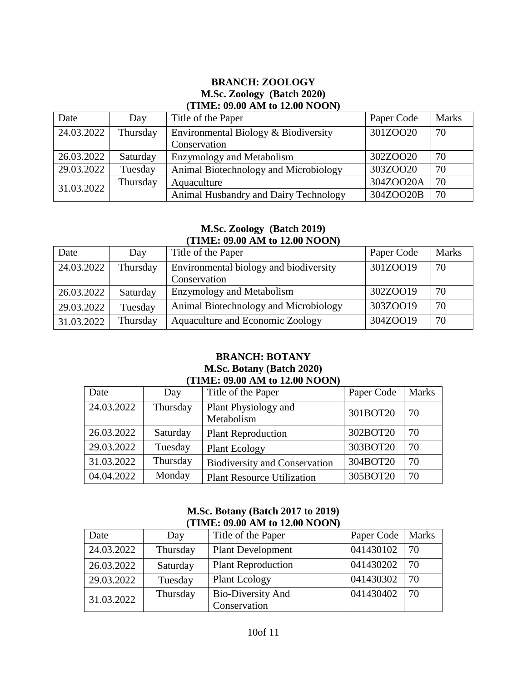#### **BRANCH: ZOOLOGY M.Sc. Zoology (Batch 2020) (TIME: 09.00 AM to 12.00 NOON)**

| Date       | Day      | Title of the Paper                    | Paper Code | <b>Marks</b> |
|------------|----------|---------------------------------------|------------|--------------|
| 24.03.2022 | Thursday | Environmental Biology & Biodiversity  | 301ZOO20   | 70           |
|            |          | Conservation                          |            |              |
| 26.03.2022 | Saturday | <b>Enzymology and Metabolism</b>      | 302ZOO20   | 70           |
| 29.03.2022 | Tuesday  | Animal Biotechnology and Microbiology | 303ZOO20   | 70           |
| 31.03.2022 | Thursday | Aquaculture                           | 304ZOO20A  | 70           |
|            |          | Animal Husbandry and Dairy Technology | 304ZOO20B  | 70           |

#### **M.Sc. Zoology (Batch 2019) (TIME: 09.00 AM to 12.00 NOON)**

| Date       | Day      | Title of the Paper                     | Paper Code | <b>Marks</b> |
|------------|----------|----------------------------------------|------------|--------------|
| 24.03.2022 | Thursday | Environmental biology and biodiversity | 301ZOO19   | 70           |
|            |          | Conservation                           |            |              |
| 26.03.2022 | Saturday | <b>Enzymology and Metabolism</b>       | 302ZOO19   | 70           |
| 29.03.2022 | Tuesday  | Animal Biotechnology and Microbiology  | 303ZOO19   | 70           |
| 31.03.2022 | Thursday | Aquaculture and Economic Zoology       | 304ZOO19   | 70           |

#### **BRANCH: BOTANY M.Sc. Botany (Batch 2020) (TIME: 09.00 AM to 12.00 NOON)**

| Date       | Day      | Title of the Paper                   | Paper Code | <b>Marks</b> |
|------------|----------|--------------------------------------|------------|--------------|
| 24.03.2022 | Thursday | Plant Physiology and<br>Metabolism   | 301BOT20   | 70           |
| 26.03.2022 | Saturday | <b>Plant Reproduction</b>            | 302BOT20   | 70           |
| 29.03.2022 | Tuesday  | <b>Plant Ecology</b>                 | 303BOT20   | 70           |
| 31.03.2022 | Thursday | <b>Biodiversity and Conservation</b> | 304BOT20   | 70           |
| 04.04.2022 | Monday   | <b>Plant Resource Utilization</b>    | 305BOT20   | 70           |

# **M.Sc. Botany (Batch 2017 to 2019) (TIME: 09.00 AM to 12.00 NOON)**

| Date       | Day      | Title of the Paper        | Paper Code | <b>Marks</b> |
|------------|----------|---------------------------|------------|--------------|
| 24.03.2022 | Thursday | <b>Plant Development</b>  | 041430102  | 70           |
| 26.03.2022 | Saturday | <b>Plant Reproduction</b> | 041430202  | 70           |
| 29.03.2022 | Tuesday  | <b>Plant Ecology</b>      | 041430302  | 70           |
| 31.03.2022 | Thursday | <b>Bio-Diversity And</b>  | 041430402  | 70           |
|            |          | Conservation              |            |              |